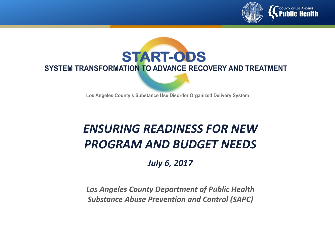



Los Angeles County's Substance Use Disorder Organized Delivery System

# *ENSURING READINESS FOR NEW PROGRAM AND BUDGET NEEDS*

*July 6, 2017*

*Los Angeles County Department of Public Health Substance Abuse Prevention and Control (SAPC)*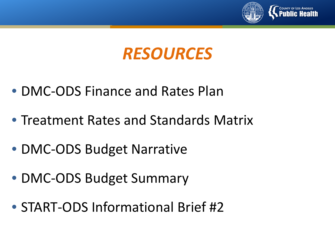

# *RESOURCES*

- DMC-ODS Finance and Rates Plan
- Treatment Rates and Standards Matrix
- DMC-ODS Budget Narrative
- DMC-ODS Budget Summary
- START-ODS Informational Brief #2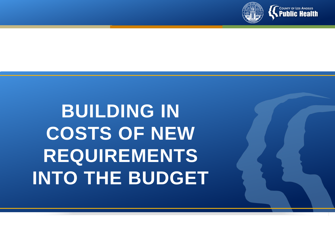

# **BUILDING IN COSTS OF NEW REQUIREMENTS INTO THE BUDGET**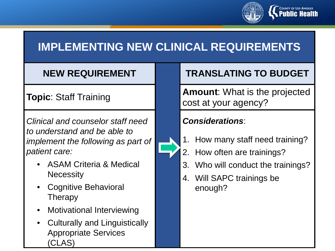

# **IMPLEMENTING NEW CLINICAL REQUIREMENTS**

*Clinical and counselor staff need to understand and be able to implement the following as part of patient care:* 

- ASAM Criteria & Medical **Necessity**
- Cognitive Behavioral Therapy
- Motivational Interviewing
- Culturally and Linguistically Appropriate Services (CLAS)

## **NEW REQUIREMENT TRANSLATING TO BUDGET**

**Topic**: Staff Training **Amount:** What is the projected cost at your agency?

- 1. How many staff need training?
- 2. How often are trainings?
- 3. Who will conduct the trainings?
- 4. Will SAPC trainings be enough?

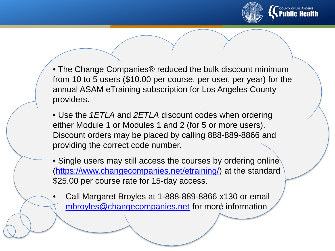

• The Change Companies<sup>®</sup> reduced the bulk discount minimum from 10 to 5 users (\$10.00 per course, per user, per year) for the annual ASAM eTraining subscription for Los Angeles County providers.

• Use the *1ETLA* and *2ETLA* discount codes when ordering either Module 1 or Modules 1 and 2 (for 5 or more users). Discount orders may be placed by calling 888-889-8866 and providing the correct code number.

• Single users may still access the courses by ordering online (<https://www.changecompanies.net/etraining/>) at the standard \$25.00 per course rate for 15-day access.

• Call Margaret Broyles at 1-888-889-8866 x130 or email [mbroyles@changecompanies.net](mailto:mbroyles@changecompanies.net) for more information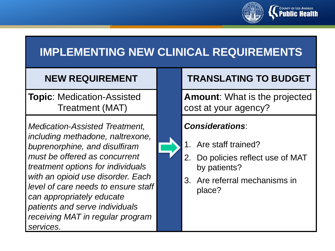

# **IMPLEMENTING NEW CLINICAL REQUIREMENTS**

**Topic**: Medication-Assisted Treatment (MAT)

*Medication-Assisted Treatment, including methadone, naltrexone, buprenorphine, and disulfiram must be offered as concurrent treatment options for individuals with an opioid use disorder. Each level of care needs to ensure staff can appropriately educate patients and serve individuals receiving MAT in regular program services.* 

### **NEW REQUIREMENT TRANSLATING TO BUDGET**

**Amount**: What is the projected cost at your agency?

- 1. Are staff trained?
- 2. Do policies reflect use of MAT by patients?
- 3. Are referral mechanisms in place?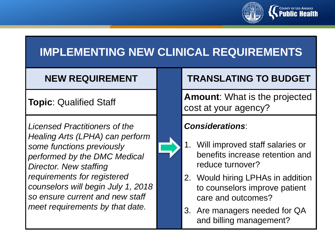

# **IMPLEMENTING NEW CLINICAL REQUIREMENTS**

*Licensed Practitioners of the Healing Arts (LPHA) can perform some functions previously performed by the DMC Medical Director. New staffing requirements for registered counselors will begin July 1, 2018 so ensure current and new staff meet requirements by that date.* 



### **NEW REQUIREMENT TRANSLATING TO BUDGET**

**Topic**: Qualified Staff **Amount**: What is the projected cost at your agency?

- 1. Will improved staff salaries or benefits increase retention and reduce turnover?
- 2. Would hiring LPHAs in addition to counselors improve patient care and outcomes?
- 3. Are managers needed for QA and billing management?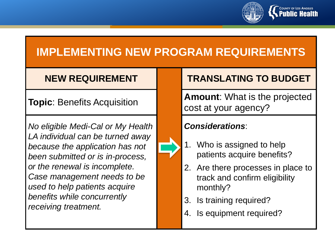

*No eligible Medi-Cal or My Health LA individual can be turned away because the application has not been submitted or is in-process, or the renewal is incomplete. Case management needs to be used to help patients acquire benefits while concurrently receiving treatment.* 



### **NEW REQUIREMENT | TRANSLATING TO BUDGET**

**Topic**: Benefits Acquisition **Amount**: What is the projected cost at your agency?

- 1. Who is assigned to help patients acquire benefits?
- 2. Are there processes in place to track and confirm eligibility monthly?
- 3. Is training required?
- 4. Is equipment required?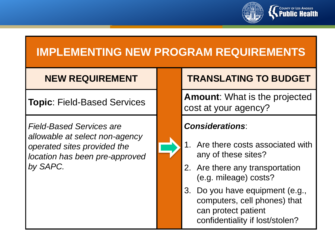

*Field-Based Services are allowable at select non-agency operated sites provided the location has been pre-approved by SAPC.* 



### **NEW REQUIREMENT TRANSLATING TO BUDGET**

**Topic**: Field-Based Services **Amount**: What is the projected cost at your agency?

- 1. Are there costs associated with any of these sites?
- 2. Are there any transportation (e.g. mileage) costs?
- 3. Do you have equipment (e.g., computers, cell phones) that can protect patient confidentiality if lost/stolen?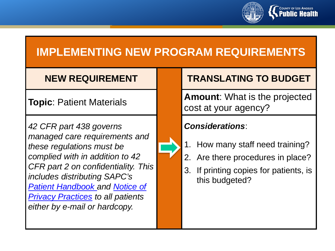

*42 CFR part 438 governs managed care requirements and these regulations must be complied with in addition to 42 CFR part 2 on confidentiality. This includes distributing SAPC's [Patient Handbook and Notice of](http://publichealth.lacounty.gov/sapc/NetworkProviders/Privacy/NoticePrivacyPracticeEnglish53017.pdf)  Privacy Practices to all patients either by e-mail or hardcopy.* 

## **NEW REQUIREMENT TRANSLATING TO BUDGET**

**Topic**: Patient Materials **Amount**: What is the projected cost at your agency?

- 1. How many staff need training?
- 2. Are there procedures in place?
- 3. If printing copies for patients, is this budgeted?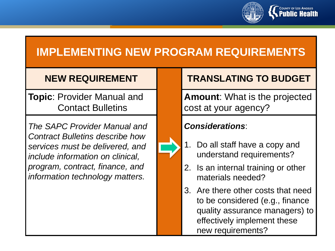

**Topic**: Provider Manual and Contact Bulletins

*The SAPC Provider Manual and Contract Bulletins describe how services must be delivered, and include information on clinical, program, contract, finance, and information technology matters.* 



### **NEW REQUIREMENT TRANSLATING TO BUDGET**

**Amount**: What is the projected cost at your agency?

- 1. Do all staff have a copy and understand requirements?
- 2. Is an internal training or other materials needed?
- 3. Are there other costs that need to be considered (e.g., finance quality assurance managers) to effectively implement these new requirements?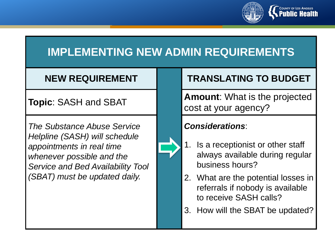

# **IMPLEMENTING NEW ADMIN REQUIREMENTS**

*The Substance Abuse Service Helpline (SASH) will schedule appointments in real time whenever possible and the Service and Bed Availability Tool (SBAT) must be updated daily.* 



### **NEW REQUIREMENT TRANSLATING TO BUDGET**

**Topic**: SASH and SBAT **Amount**: What is the projected cost at your agency?

- 1. Is a receptionist or other staff always available during regular business hours?
- 2. What are the potential losses in referrals if nobody is available to receive SASH calls?
- 3. How will the SBAT be updated?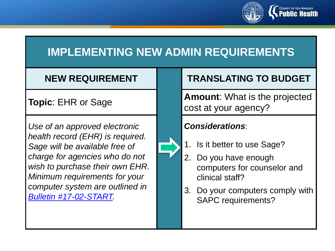

# **IMPLEMENTING NEW ADMIN REQUIREMENTS**

*Use of an approved electronic health record (EHR) is required. Sage will be available free of charge for agencies who do not wish to purchase their own EHR. Minimum requirements for your computer system are outlined in [Bulletin #17-02-START.](http://publichealth.lacounty.gov/sapc/Bulletins/START-ODS/Bulletin17-02mcis.pdf)* 



### **NEW REQUIREMENT TRANSLATING TO BUDGET**

**Topic**: EHR or Sage **All Constanting Amount**: What is the projected cost at your agency?

- 1. Is it better to use Sage?
- 2. Do you have enough computers for counselor and clinical staff?
- 3. Do your computers comply with SAPC requirements?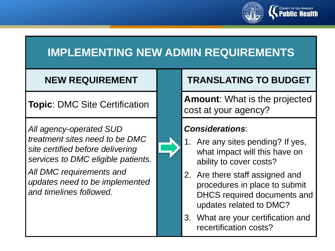

## **IMPLEMENTING NEW ADMIN REQUIREMENTS**

*All agency-operated SUD treatment sites need to be DMC site certified before delivering services to DMC eligible patients.* 

*All DMC requirements and updates need to be implemented and timelines followed.* 



### **NEW REQUIREMENT TRANSLATING TO BUDGET**

**Topic**: DMC Site Certification **Amount**: What is the projected cost at your agency?

- 1. Are any sites pending? If yes, what impact will this have on ability to cover costs?
- 2. Are there staff assigned and procedures in place to submit DHCS required documents and updates related to DMC?
- 3. What are your certification and recertification costs?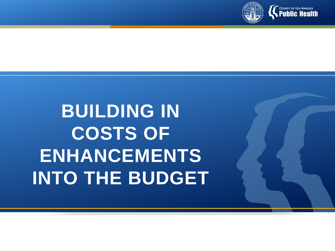

# **BUILDING IN COSTS OF ENHANCEMENTS INTO THE BUDGET**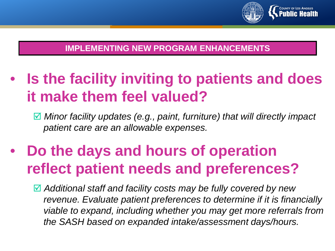

### **IMPLEMENTING NEW PROGRAM ENHANCEMENTS**

• **Is the facility inviting to patients and does it make them feel valued?** 

 *Minor facility updates (e.g., paint, furniture) that will directly impact patient care are an allowable expenses.* 

# • **Do the days and hours of operation reflect patient needs and preferences?**

 *Additional staff and facility costs may be fully covered by new revenue. Evaluate patient preferences to determine if it is financially viable to expand, including whether you may get more referrals from the SASH based on expanded intake/assessment days/hours.*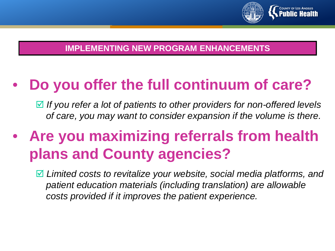

### **IMPLEMENTING NEW PROGRAM ENHANCEMENTS**

# • **Do you offer the full continuum of care?**

 *If you refer a lot of patients to other providers for non-offered levels of care, you may want to consider expansion if the volume is there.* 

# • **Are you maximizing referrals from health plans and County agencies?**

 *Limited costs to revitalize your website, social media platforms, and patient education materials (including translation) are allowable costs provided if it improves the patient experience.*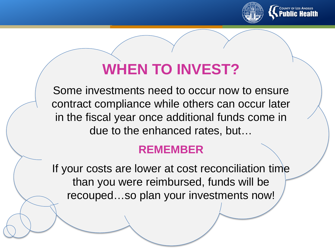

# **WHEN TO INVEST?**

Some investments need to occur now to ensure contract compliance while others can occur later in the fiscal year once additional funds come in due to the enhanced rates, but…

## **REMEMBER**

If your costs are lower at cost reconciliation time than you were reimbursed, funds will be recouped…so plan your investments now!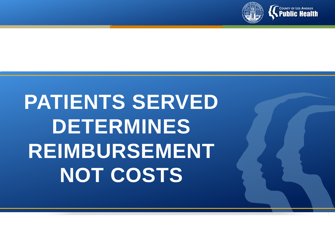

# **PATIENTS SERVED DETERMINES REIMBURSEMENT NOT COSTS**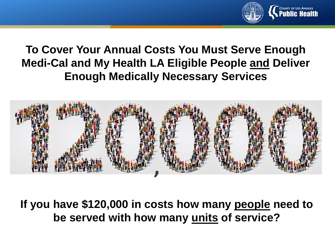

# **To Cover Your Annual Costs You Must Serve Enough Medi-Cal and My Health LA Eligible People and Deliver Enough Medically Necessary Services**



**If you have \$120,000 in costs how many people need to be served with how many units of service?**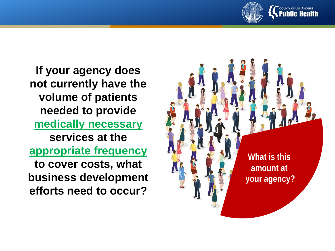

**If your agency does not currently have the volume of patients needed to provide medically necessary services at the appropriate frequency to cover costs, what business development efforts need to occur?**

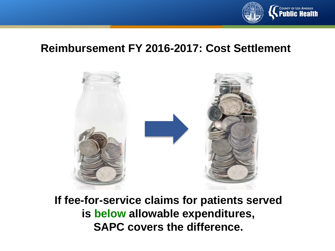

## **Reimbursement FY 2016-2017: Cost Settlement**



**If fee-for-service claims for patients served is below allowable expenditures, SAPC covers the difference.**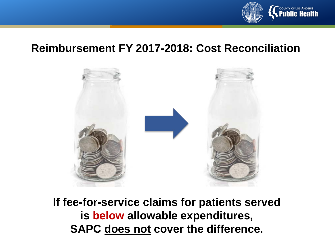

## **Reimbursement FY 2017-2018: Cost Reconciliation**



**If fee-for-service claims for patients served is below allowable expenditures, SAPC does not cover the difference.**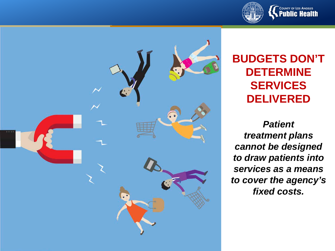



# **BUDGETS DON'T DETERMINE SERVICES DELIVERED**

*Patient treatment plans cannot be designed to draw patients into services as a means to cover the agency's fixed costs.*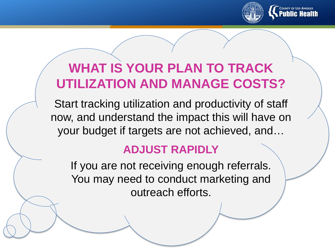

# **WHAT IS YOUR PLAN TO TRACK UTILIZATION AND MANAGE COSTS?**

Start tracking utilization and productivity of staff now, and understand the impact this will have on your budget if targets are not achieved, and…

## **ADJUST RAPIDLY**

If you are not receiving enough referrals. You may need to conduct marketing and outreach efforts.